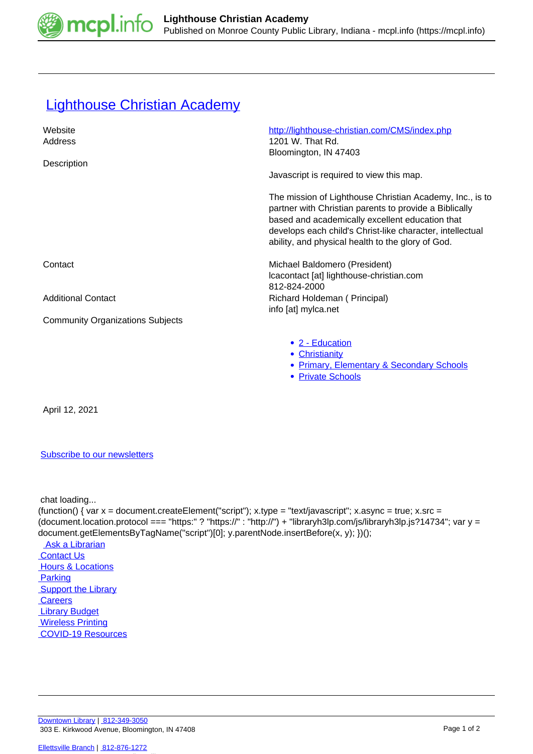

## **[Lighthouse Christian Academy](https://mcpl.info/commorg/lighthouse-christian-academy)**

| Website<br>Address                      | http://lighthouse-christian.com/CMS/index.php<br>1201 W. That Rd.<br>Bloomington, IN 47403                                                                                                                                                                                              |
|-----------------------------------------|-----------------------------------------------------------------------------------------------------------------------------------------------------------------------------------------------------------------------------------------------------------------------------------------|
| Description                             | Javascript is required to view this map.                                                                                                                                                                                                                                                |
|                                         | The mission of Lighthouse Christian Academy, Inc., is to<br>partner with Christian parents to provide a Biblically<br>based and academically excellent education that<br>develops each child's Christ-like character, intellectual<br>ability, and physical health to the glory of God. |
| Contact                                 | Michael Baldomero (President)<br>Icacontact [at] lighthouse-christian.com<br>812-824-2000                                                                                                                                                                                               |
| <b>Additional Contact</b>               | Richard Holdeman (Principal)<br>info [at] mylca.net                                                                                                                                                                                                                                     |
| <b>Community Organizations Subjects</b> |                                                                                                                                                                                                                                                                                         |
|                                         | • 2 - Education                                                                                                                                                                                                                                                                         |
|                                         | • Christianity                                                                                                                                                                                                                                                                          |
|                                         | <b>Primary, Elementary &amp; Secondary Schools</b><br>$\bullet$                                                                                                                                                                                                                         |

• [Private Schools](https://mcpl.info/taxonomy/term/24978)

April 12, 2021

## [Subscribe to our newsletters](https://mcpl.info/geninfo/subscribe-think-library-newsletter)

chat loading...

(function() { var  $x =$  document.createElement("script");  $x.$ type = "text/javascript";  $x.$ async = true;  $x.$ src = (document.location.protocol === "https:" ? "https://" : "http://") + "libraryh3lp.com/js/libraryh3lp.js?14734"; var y = document.getElementsByTagName("script")[0]; y.parentNode.insertBefore(x, y); })(); Ask a Librarian  [Contact Us](https://mcpl.info/geninfo/contact-us) **Hours & Locations**  [Parking](https://mcpl.info/parking?utm_source=footer&utm_medium=links&utm_campaign=parking) **Support the Library Careers**  [Library Budget](https://budgetnotices.in.gov/unit_lookup.aspx?ct=53000)  [Wireless Printing](https://tbs.eprintit.com/portal/#/ppl/upload/monroecpl)  [COVID-19 Resources](https://mcpl.info/geninfo/local-covid-resources)